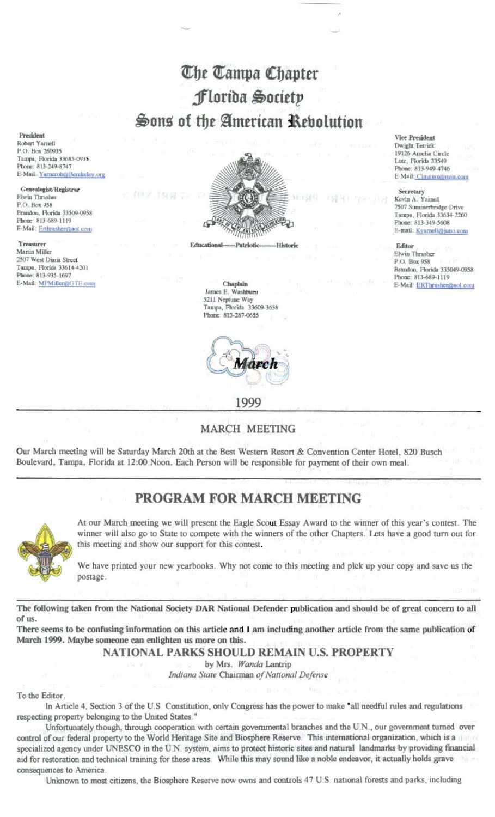# The Tampa Chapter Florida Society Sons of the American Rebolution

President Robert Yarnell P.O. Box 260935 Tampa, Florida 33685-0935 Phone: 813-249-8747 E-Mail YarnerobzaBerckeley.org

Genealogist/Registrar Elwin Thrasher P.O. Box 958 Brandon, Florida 33509-0958 Phone: 813-689-1119 E-Mail: Erthrasher@aol.com

Treasurer Martin Miller 2507 West Diana Street Tampa, Florida 33614-4201 Phone: 813-935-1697 E-Mail: MPMiller@GTE.com



#### Chaplain James E. Washburn 5211 Neptune Way Tampa, Florida 33609-3638 Phone: 813-287-0655



## **MARCH MEETING**

Our March meeting will be Saturday March 20th at the Best Western Resort & Convention Center Hotel, 820 Busch Boulevard, Tampa, Florida at 12:00 Noon. Each Person will be responsible for payment of their own meal.

# PROGRAM FOR MARCH MEETING



At our March meeting we will present the Eagle Scout Essay Award to the winner of this year's contest. The winner will also go to State to compete with the winners of the other Chapters. Lets have a good turn out for this meeting and show our support for this contest.

We have printed your new yearbooks. Why not come to this meeting and pick up your copy and save us the postage.

The following taken from the National Society DAR National Defender publication and should be of great concern to all of us.

There seems to be confusing information on this article and I am including another article from the same publication of March 1999. Maybe someone can enlighten us more on this.

NATIONAL PARKS SHOULD REMAIN U.S. PROPERTY

by Mrs. Wanda Lantrip

Indiana State Chairman of National Defense

To the Editor

In Article 4, Section 3 of the U.S. Constitution, only Congress has the power to make "all needful rules and regulations respecting property belonging to the United States."

Unfortunately though, through cooperation with certain governmental branches and the U.N., our government turned over control of our federal property to the World Heritage Site and Biosphere Reserve. This international organization, which is a specialized agency under UNESCO in the U.N. system, aims to protect historic sites and natural landmarks by providing financial aid for restoration and technical training for these areas While this may sound like a noble endeavor, it actually holds grave consequences to America.

Unknown to most citizens, the Biosphere Reserve now owns and controls 47 U.S. national forests and parks, including

**Vice President** Dwight Tetrick 19126 Amelia Circle Lutz, Florida 33549 Phone: 813-949-4746 E-Mail: Cimmaxezmsn.com

Secretary Kevin A. Yarnell 7507 Summerbridge Drive Tampa, Florida 33634-2260 Phone: 813-349-5608 E-mail: Kyarnell@juno.com

Editor Elwin Thrasher P.O. Box 958 Brandon, Florida 335049-0958 Phone: 813-689-1119 E-Mail: ERThrasher@aol.com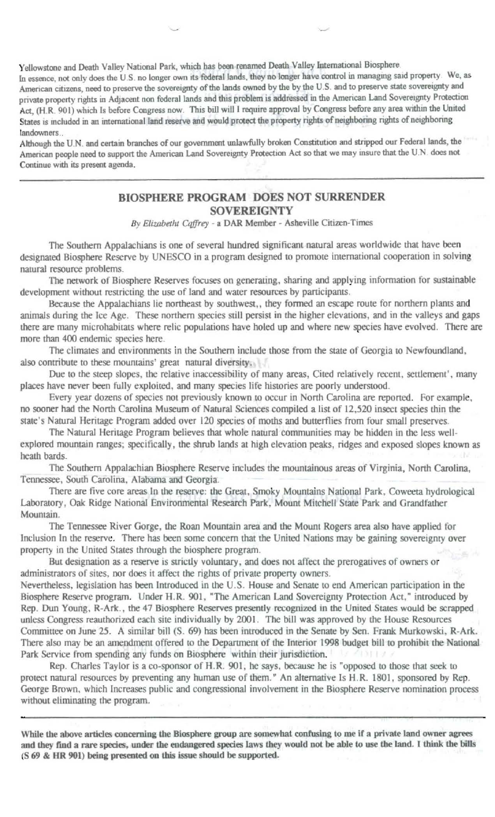Yellowstone and Death Valley National Park, which has been renamed Death Valley International Biosphere.

In essence, not only does the U.S. no longer own its federal lands, they no longer have control in managing said property. We, as American citizens, need to preserve the sovereignty of the lands owned by the by the U.S. and to preserve state sovereignty and private property rights in Adjacent non federal lands and this problem is addressed in the American Land Sovereignty Protection Act, (H.R. 901) which Is before Congress now. This bill will I require approval by Congress before any area within the United States is included in an international land reserve and would protect the property rights of neighboring rights of neighboring landowners...

Although the U.N. and certain branches of our government unlawfully broken Constitution and stripped our Federal lands, the American people need to support the American Land Sovereignty Protection Act so that we may insure that the U.N. does not Continue with its present agenda.

### **BIOSPHERE PROGRAM DOES NOT SURRENDER SOVEREIGNTY**

By Elizabetht Caffrey - a DAR Member - Asheville Citizen-Times

The Southern Appalachians is one of several hundred significant natural areas worldwide that have been designated Biosphere Reserve by UNESCO in a program designed to promote international cooperation in solving natural resource problems.

The network of Biosphere Reserves focuses on generating, sharing and applying information for sustainable development without restricting the use of land and water resources by participants.

Because the Appalachians lie northeast by southwest,, they formed an escape route for northern plants and animals during the Ice Age. These northern species still persist in the higher elevations, and in the valleys and gaps there are many microhabitats where relic populations have holed up and where new species have evolved. There are more than 400 endemic species here.

The climates and environments in the Southern include those from the state of Georgia to Newfoundland, also contribute to these mountains' great natural diversity.

Due to the steep slopes, the relative inaccessibility of many areas, Cited relatively recent, settlement', many places have never been fully exploited, and many species life histories are poorly understood.

Every year dozens of species not previously known to occur in North Carolina are reported. For example, no sooner had the North Carolina Museum of Natural Sciences compiled a list of 12,520 insect species thin the state's Natural Heritage Program added over 120 species of moths and butterflies from four small preserves.

The Natural Heritage Program believes that whole natural communities may be hidden in the less wellexplored mountain ranges; specifically, the shrub lands at high elevation peaks, ridges and exposed slopes known as heath bards.

The Southern Appalachian Biosphere Reserve includes the mountainous areas of Virginia, North Carolina, Tennessee, South Carolina, Alabama and Georgia.

There are five core areas In the reserve: the Great, Smoky Mountains National Park, Coweeta hydrological Laboratory, Oak Ridge National Environmental Research Park, Mount Mitchell State Park and Grandfather Mountain.

The Tennessee River Gorge, the Roan Mountain area and the Mount Rogers area also have applied for Inclusion In the reserve. There has been some concern that the United Nations may be gaining sovereignty over property in the United States through the biosphere program.

But designation as a reserve is strictly voluntary, and does not affect the prerogatives of owners or administrators of sites, nor does it affect the rights of private property owners.

Nevertheless, legislation has been Introduced in the U.S. House and Senate to end American participation in the Biosphere Reserve program. Under H.R. 901, "The American Land Sovereignty Protection Act," introduced by Rep. Dun Young, R-Ark., the 47 Biosphere Reserves presently recognized in the United States would be scrapped unless Congress reauthorized each site individually by 2001. The bill was approved by the House Resources Committee on June 25. A similar bill (S. 69) has been introduced in the Senate by Sen. Frank Murkowski, R-Ark. There also may be an amendment offered to the Department of the Interior 1998 budget bill to prohibit the National Park Service from spending any funds on Biosphere within their jurisdiction.

Rep. Charles Taylor is a co-sponsor of H.R. 901, he says, because he is "opposed to those that seek to protect natural resources by preventing any human use of them." An alternative Is H.R. 1801, sponsored by Rep. George Brown, which Increases public and congressional involvement in the Biosphere Reserve nomination process without eliminating the program.

While the above articles concerning the Biosphere group are somewhat confusing to me if a private land owner agrees and they find a rare species, under the endangered species laws they would not be able to use the land. I think the bills (S 69 & HR 901) being presented on this issue should be supported.